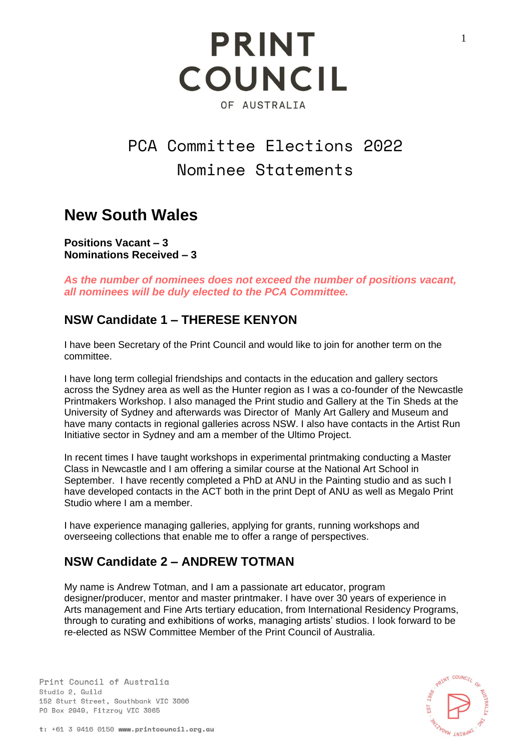## PCA Committee Elections 2022 Nominee Statements

## **New South Wales**

**Positions Vacant – 3 Nominations Received – 3**

*As the number of nominees does not exceed the number of positions vacant, all nominees will be duly elected to the PCA Committee.* 

#### **NSW Candidate 1 – THERESE KENYON**

I have been Secretary of the Print Council and would like to join for another term on the committee.

I have long term collegial friendships and contacts in the education and gallery sectors across the Sydney area as well as the Hunter region as I was a co-founder of the Newcastle Printmakers Workshop. I also managed the Print studio and Gallery at the Tin Sheds at the University of Sydney and afterwards was Director of Manly Art Gallery and Museum and have many contacts in regional galleries across NSW. I also have contacts in the Artist Run Initiative sector in Sydney and am a member of the Ultimo Project.

In recent times I have taught workshops in experimental printmaking conducting a Master Class in Newcastle and I am offering a similar course at the National Art School in September. I have recently completed a PhD at ANU in the Painting studio and as such I have developed contacts in the ACT both in the print Dept of ANU as well as Megalo Print Studio where I am a member.

I have experience managing galleries, applying for grants, running workshops and overseeing collections that enable me to offer a range of perspectives.

#### **NSW Candidate 2 – ANDREW TOTMAN**

My name is Andrew Totman, and I am a passionate art educator, program designer/producer, mentor and master printmaker. I have over 30 years of experience in Arts management and Fine Arts tertiary education, from International Residency Programs, through to curating and exhibitions of works, managing artists' studios. I look forward to be re-elected as NSW Committee Member of the Print Council of Australia.

Print Council of Australia Studio 2. Guild 152 Sturt Street, Southbank VIC 3006 PO Box 2949, Fitzroy VIC 3065



1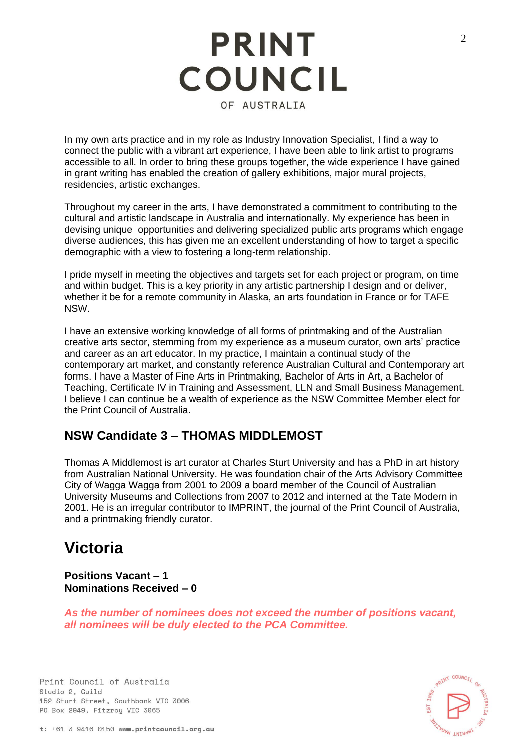In my own arts practice and in my role as Industry Innovation Specialist, I find a way to connect the public with a vibrant art experience, I have been able to link artist to programs accessible to all. In order to bring these groups together, the wide experience I have gained in grant writing has enabled the creation of gallery exhibitions, major mural projects, residencies, artistic exchanges.

Throughout my career in the arts, I have demonstrated a commitment to contributing to the cultural and artistic landscape in Australia and internationally. My experience has been in devising unique opportunities and delivering specialized public arts programs which engage diverse audiences, this has given me an excellent understanding of how to target a specific demographic with a view to fostering a long-term relationship.

I pride myself in meeting the objectives and targets set for each project or program, on time and within budget. This is a key priority in any artistic partnership I design and or deliver, whether it be for a remote community in Alaska, an arts foundation in France or for TAFE NSW.

I have an extensive working knowledge of all forms of printmaking and of the Australian creative arts sector, stemming from my experience as a museum curator, own arts' practice and career as an art educator. In my practice, I maintain a continual study of the contemporary art market, and constantly reference Australian Cultural and Contemporary art forms. I have a Master of Fine Arts in Printmaking, Bachelor of Arts in Art, a Bachelor of Teaching, Certificate IV in Training and Assessment, LLN and Small Business Management. I believe I can continue be a wealth of experience as the NSW Committee Member elect for the Print Council of Australia.

#### **NSW Candidate 3 – THOMAS MIDDLEMOST**

Thomas A Middlemost is art curator at Charles Sturt University and has a PhD in art history from Australian National University. He was foundation chair of the Arts Advisory Committee City of Wagga Wagga from 2001 to 2009 a board member of the Council of Australian University Museums and Collections from 2007 to 2012 and interned at the Tate Modern in 2001. He is an irregular contributor to IMPRINT, the journal of the Print Council of Australia, and a printmaking friendly curator.

### **Victoria**

**Positions Vacant – 1 Nominations Received – 0**

*As the number of nominees does not exceed the number of positions vacant, all nominees will be duly elected to the PCA Committee.* 

Print Council of Australia Studio 2. Guild 152 Sturt Street, Southbank VIC 3006 PO Box 2949, Fitzroy VIC 3065

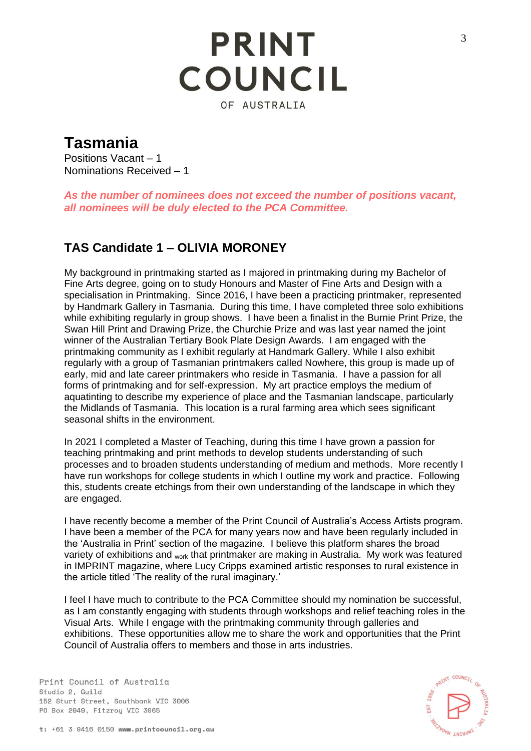### **Tasmania**

Positions Vacant – 1 Nominations Received – 1

*As the number of nominees does not exceed the number of positions vacant, all nominees will be duly elected to the PCA Committee.* 

#### **TAS Candidate 1 – OLIVIA MORONEY**

My background in printmaking started as I majored in printmaking during my Bachelor of Fine Arts degree, going on to study Honours and Master of Fine Arts and Design with a specialisation in Printmaking. Since 2016, I have been a practicing printmaker, represented by Handmark Gallery in Tasmania. During this time, I have completed three solo exhibitions while exhibiting regularly in group shows. I have been a finalist in the Burnie Print Prize, the Swan Hill Print and Drawing Prize, the Churchie Prize and was last year named the joint winner of the Australian Tertiary Book Plate Design Awards. I am engaged with the printmaking community as I exhibit regularly at Handmark Gallery. While I also exhibit regularly with a group of Tasmanian printmakers called Nowhere, this group is made up of early, mid and late career printmakers who reside in Tasmania. I have a passion for all forms of printmaking and for self-expression. My art practice employs the medium of aquatinting to describe my experience of place and the Tasmanian landscape, particularly the Midlands of Tasmania. This location is a rural farming area which sees significant seasonal shifts in the environment.

In 2021 I completed a Master of Teaching, during this time I have grown a passion for teaching printmaking and print methods to develop students understanding of such processes and to broaden students understanding of medium and methods. More recently I have run workshops for college students in which I outline my work and practice. Following this, students create etchings from their own understanding of the landscape in which they are engaged.

I have recently become a member of the Print Council of Australia's Access Artists program. I have been a member of the PCA for many years now and have been regularly included in the 'Australia in Print' section of the magazine. I believe this platform shares the broad variety of exhibitions and <sub>work</sub> that printmaker are making in Australia. My work was featured in IMPRINT magazine, where Lucy Cripps examined artistic responses to rural existence in the article titled 'The reality of the rural imaginary.'

I feel I have much to contribute to the PCA Committee should my nomination be successful, as I am constantly engaging with students through workshops and relief teaching roles in the Visual Arts. While I engage with the printmaking community through galleries and exhibitions. These opportunities allow me to share the work and opportunities that the Print Council of Australia offers to members and those in arts industries.

Print Council of Australia Studio 2. Guild 152 Sturt Street, Southbank VIC 3006 PO Box 2949, Fitzroy VIC 3065